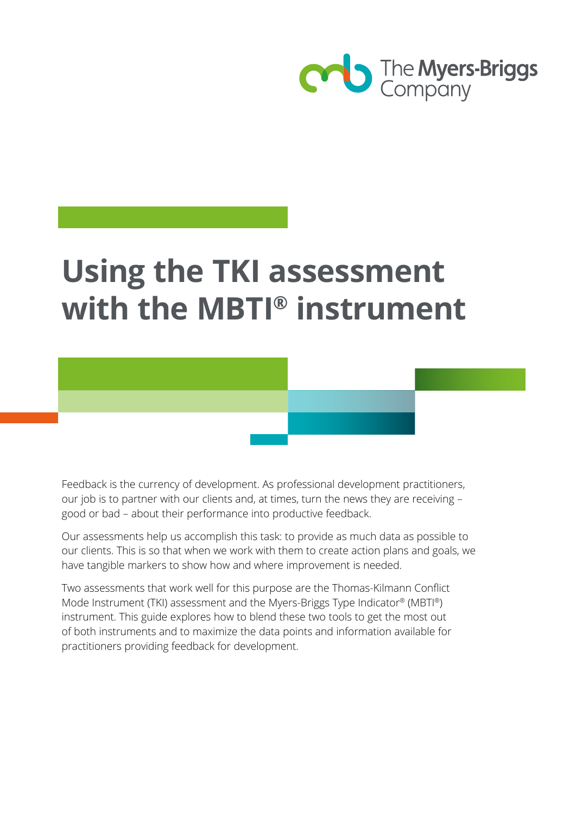

# **Using the TKI assessment with the MBTI® instrument**

Feedback is the currency of development. As professional development practitioners, our job is to partner with our clients and, at times, turn the news they are receiving – good or bad – about their performance into productive feedback.

Our assessments help us accomplish this task: to provide as much data as possible to our clients. This is so that when we work with them to create action plans and goals, we have tangible markers to show how and where improvement is needed.

Two assessments that work well for this purpose are the Thomas-Kilmann Conflict Mode Instrument (TKI) assessment and the Myers-Briggs Type Indicator® (MBTI®) instrument. This guide explores how to blend these two tools to get the most out of both instruments and to maximize the data points and information available for practitioners providing feedback for development.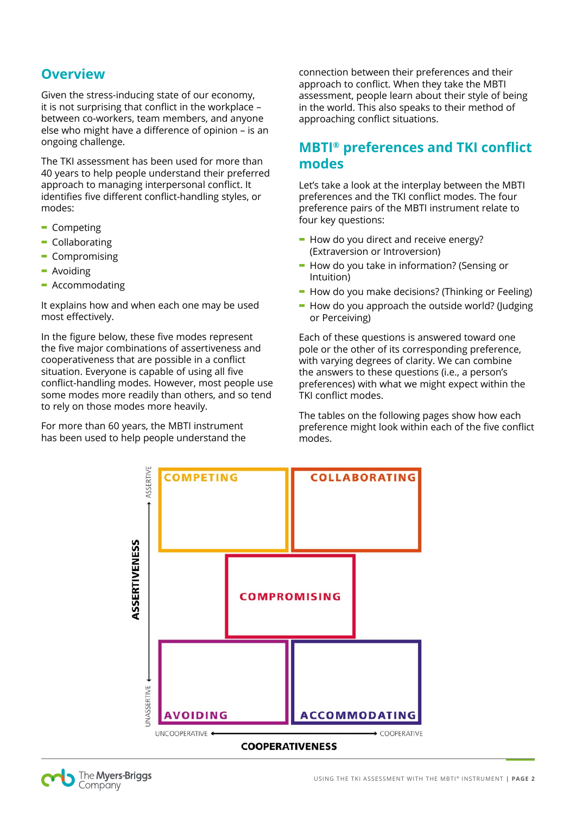#### **Overview**

Given the stress-inducing state of our economy, it is not surprising that conflict in the workplace – between co-workers, team members, and anyone else who might have a difference of opinion – is an ongoing challenge.

The TKI assessment has been used for more than 40 years to help people understand their preferred approach to managing interpersonal conflict. It identifies five different conflict-handling styles, or modes:

- **-** Competing
- **-** Collaborating
- **-** Compromising
- **-** Avoiding
- **-** Accommodating

It explains how and when each one may be used most effectively.

In the figure below, these five modes represent the five major combinations of assertiveness and cooperativeness that are possible in a conflict situation. Everyone is capable of using all five conflict-handling modes. However, most people use some modes more readily than others, and so tend to rely on those modes more heavily.

For more than 60 years, the MBTI instrument has been used to help people understand the

connection between their preferences and their approach to conflict. When they take the MBTI assessment, people learn about their style of being in the world. This also speaks to their method of approaching conflict situations.

#### **MBTI® preferences and TKI conflict modes**

Let's take a look at the interplay between the MBTI preferences and the TKI conflict modes. The four preference pairs of the MBTI instrument relate to four key questions:

- **-** How do you direct and receive energy? (Extraversion or Introversion)
- **-** How do you take in information? (Sensing or Intuition)
- **-** How do you make decisions? (Thinking or Feeling)
- **-** How do you approach the outside world? (Judging or Perceiving)

Each of these questions is answered toward one pole or the other of its corresponding preference, with varying degrees of clarity. We can combine the answers to these questions (i.e., a person's preferences) with what we might expect within the TKI conflict modes.

The tables on the following pages show how each preference might look within each of the five conflict modes.



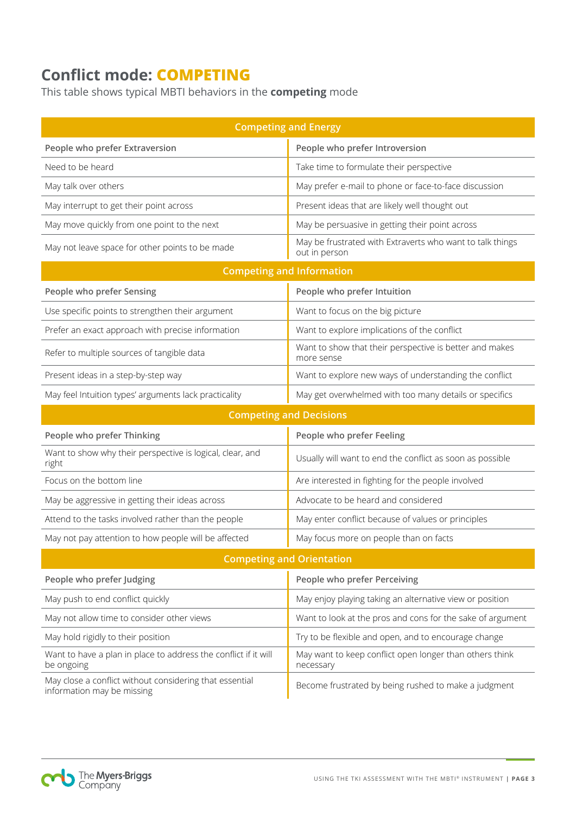# **Conflict mode: COMPETING**

This table shows typical MBTI behaviors in the **competing** mode

| <b>Competing and Energy</b>                                                           |                                                                            |  |  |  |
|---------------------------------------------------------------------------------------|----------------------------------------------------------------------------|--|--|--|
| People who prefer Extraversion                                                        | People who prefer Introversion                                             |  |  |  |
| Need to be heard                                                                      | Take time to formulate their perspective                                   |  |  |  |
| May talk over others                                                                  | May prefer e-mail to phone or face-to-face discussion                      |  |  |  |
| May interrupt to get their point across                                               | Present ideas that are likely well thought out                             |  |  |  |
| May move quickly from one point to the next                                           | May be persuasive in getting their point across                            |  |  |  |
| May not leave space for other points to be made                                       | May be frustrated with Extraverts who want to talk things<br>out in person |  |  |  |
| <b>Competing and Information</b>                                                      |                                                                            |  |  |  |
| People who prefer Sensing                                                             | People who prefer Intuition                                                |  |  |  |
| Use specific points to strengthen their argument                                      | Want to focus on the big picture                                           |  |  |  |
| Prefer an exact approach with precise information                                     | Want to explore implications of the conflict                               |  |  |  |
| Refer to multiple sources of tangible data                                            | Want to show that their perspective is better and makes<br>more sense      |  |  |  |
| Present ideas in a step-by-step way                                                   | Want to explore new ways of understanding the conflict                     |  |  |  |
| May feel Intuition types' arguments lack practicality                                 | May get overwhelmed with too many details or specifics                     |  |  |  |
| <b>Competing and Decisions</b>                                                        |                                                                            |  |  |  |
| People who prefer Thinking                                                            | People who prefer Feeling                                                  |  |  |  |
| Want to show why their perspective is logical, clear, and<br>right                    | Usually will want to end the conflict as soon as possible                  |  |  |  |
| Focus on the bottom line                                                              | Are interested in fighting for the people involved                         |  |  |  |
| May be aggressive in getting their ideas across                                       | Advocate to be heard and considered                                        |  |  |  |
| Attend to the tasks involved rather than the people                                   | May enter conflict because of values or principles                         |  |  |  |
| May not pay attention to how people will be affected                                  | May focus more on people than on facts                                     |  |  |  |
| <b>Competing and Orientation</b>                                                      |                                                                            |  |  |  |
| People who prefer Judging                                                             | People who prefer Perceiving                                               |  |  |  |
| May push to end conflict quickly                                                      | May enjoy playing taking an alternative view or position                   |  |  |  |
| May not allow time to consider other views                                            | Want to look at the pros and cons for the sake of argument                 |  |  |  |
| May hold rigidly to their position                                                    | Try to be flexible and open, and to encourage change                       |  |  |  |
| Want to have a plan in place to address the conflict if it will<br>be ongoing         | May want to keep conflict open longer than others think<br>necessary       |  |  |  |
| May close a conflict without considering that essential<br>information may be missing | Become frustrated by being rushed to make a judgment                       |  |  |  |

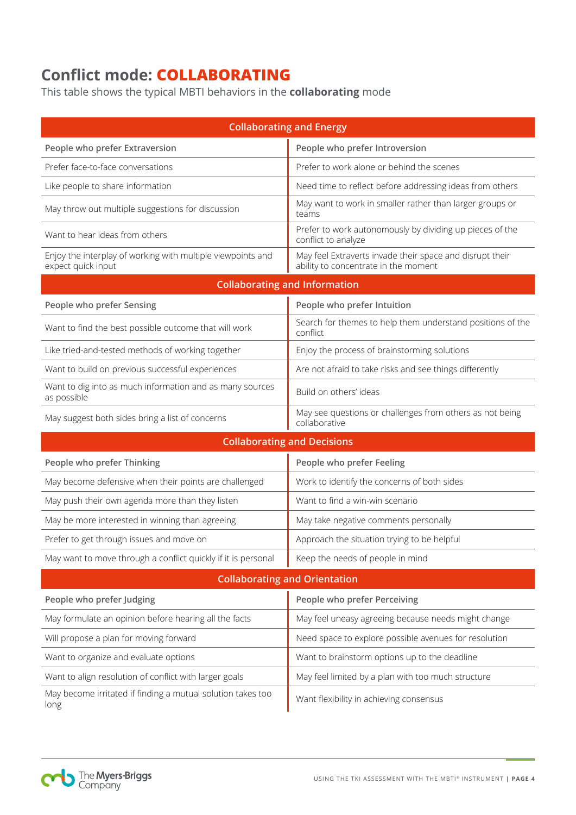# **Conflict mode: COLLABORATING**

This table shows the typical MBTI behaviors in the **collaborating** mode

| <b>Collaborating and Energy</b>                                                   |                                                                                                  |  |  |  |
|-----------------------------------------------------------------------------------|--------------------------------------------------------------------------------------------------|--|--|--|
| People who prefer Extraversion                                                    | People who prefer Introversion                                                                   |  |  |  |
| Prefer face-to-face conversations                                                 | Prefer to work alone or behind the scenes                                                        |  |  |  |
| Like people to share information                                                  | Need time to reflect before addressing ideas from others                                         |  |  |  |
| May throw out multiple suggestions for discussion                                 | May want to work in smaller rather than larger groups or<br>teams                                |  |  |  |
| Want to hear ideas from others                                                    | Prefer to work autonomously by dividing up pieces of the<br>conflict to analyze                  |  |  |  |
| Enjoy the interplay of working with multiple viewpoints and<br>expect quick input | May feel Extraverts invade their space and disrupt their<br>ability to concentrate in the moment |  |  |  |
| <b>Collaborating and Information</b>                                              |                                                                                                  |  |  |  |
| People who prefer Sensing                                                         | People who prefer Intuition                                                                      |  |  |  |
| Want to find the best possible outcome that will work                             | Search for themes to help them understand positions of the<br>conflict                           |  |  |  |
| Like tried-and-tested methods of working together                                 | Enjoy the process of brainstorming solutions                                                     |  |  |  |
| Want to build on previous successful experiences                                  | Are not afraid to take risks and see things differently                                          |  |  |  |
| Want to dig into as much information and as many sources<br>as possible           | Build on others' ideas                                                                           |  |  |  |
| May suggest both sides bring a list of concerns                                   | May see questions or challenges from others as not being<br>collaborative                        |  |  |  |
| <b>Collaborating and Decisions</b>                                                |                                                                                                  |  |  |  |
| People who prefer Thinking                                                        | People who prefer Feeling                                                                        |  |  |  |
| May become defensive when their points are challenged                             | Work to identify the concerns of both sides                                                      |  |  |  |
| May push their own agenda more than they listen                                   | Want to find a win-win scenario                                                                  |  |  |  |
| May be more interested in winning than agreeing                                   | May take negative comments personally                                                            |  |  |  |
| Prefer to get through issues and move on                                          | Approach the situation trying to be helpful                                                      |  |  |  |
| May want to move through a conflict quickly if it is personal                     | Keep the needs of people in mind                                                                 |  |  |  |
| <b>Collaborating and Orientation</b>                                              |                                                                                                  |  |  |  |
| People who prefer Judging                                                         | People who prefer Perceiving                                                                     |  |  |  |
| May formulate an opinion before hearing all the facts                             | May feel uneasy agreeing because needs might change                                              |  |  |  |
| Will propose a plan for moving forward                                            | Need space to explore possible avenues for resolution                                            |  |  |  |
| Want to organize and evaluate options                                             | Want to brainstorm options up to the deadline                                                    |  |  |  |
| Want to align resolution of conflict with larger goals                            | May feel limited by a plan with too much structure                                               |  |  |  |
| May become irritated if finding a mutual solution takes too<br>long               | Want flexibility in achieving consensus                                                          |  |  |  |

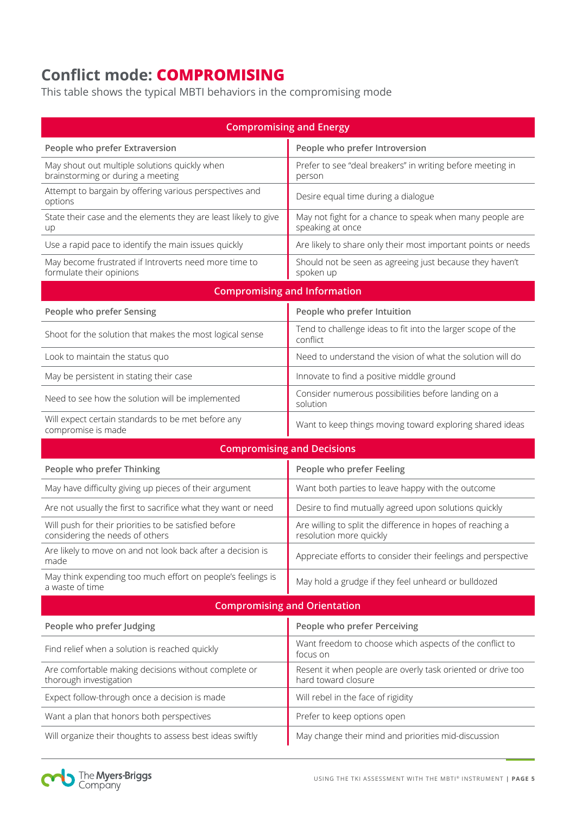# **Conflict mode: COMPROMISING**

This table shows the typical MBTI behaviors in the compromising mode

| <b>Compromising and Energy</b>                                                           |                                                                                       |  |  |  |
|------------------------------------------------------------------------------------------|---------------------------------------------------------------------------------------|--|--|--|
| People who prefer Extraversion                                                           | People who prefer Introversion                                                        |  |  |  |
| May shout out multiple solutions quickly when<br>brainstorming or during a meeting       | Prefer to see "deal breakers" in writing before meeting in<br>person                  |  |  |  |
| Attempt to bargain by offering various perspectives and<br>options                       | Desire equal time during a dialogue                                                   |  |  |  |
| State their case and the elements they are least likely to give<br>up                    | May not fight for a chance to speak when many people are<br>speaking at once          |  |  |  |
| Use a rapid pace to identify the main issues quickly                                     | Are likely to share only their most important points or needs                         |  |  |  |
| May become frustrated if Introverts need more time to<br>formulate their opinions        | Should not be seen as agreeing just because they haven't<br>spoken up                 |  |  |  |
| <b>Compromising and Information</b>                                                      |                                                                                       |  |  |  |
| People who prefer Sensing                                                                | People who prefer Intuition                                                           |  |  |  |
| Shoot for the solution that makes the most logical sense                                 | Tend to challenge ideas to fit into the larger scope of the<br>conflict               |  |  |  |
| Look to maintain the status quo                                                          | Need to understand the vision of what the solution will do                            |  |  |  |
| May be persistent in stating their case                                                  | Innovate to find a positive middle ground                                             |  |  |  |
| Need to see how the solution will be implemented                                         | Consider numerous possibilities before landing on a<br>solution                       |  |  |  |
| Will expect certain standards to be met before any<br>compromise is made                 | Want to keep things moving toward exploring shared ideas                              |  |  |  |
|                                                                                          | <b>Compromising and Decisions</b>                                                     |  |  |  |
| People who prefer Thinking                                                               | People who prefer Feeling                                                             |  |  |  |
| May have difficulty giving up pieces of their argument                                   | Want both parties to leave happy with the outcome                                     |  |  |  |
| Are not usually the first to sacrifice what they want or need                            | Desire to find mutually agreed upon solutions quickly                                 |  |  |  |
| Will push for their priorities to be satisfied before<br>considering the needs of others | Are willing to split the difference in hopes of reaching a<br>resolution more quickly |  |  |  |
| Are likely to move on and not look back after a decision is<br>made                      | Appreciate efforts to consider their feelings and perspective                         |  |  |  |
| May think expending too much effort on people's feelings is<br>a waste of time           | May hold a grudge if they feel unheard or bulldozed                                   |  |  |  |
| <b>Compromising and Orientation</b>                                                      |                                                                                       |  |  |  |
| People who prefer Judging                                                                | People who prefer Perceiving                                                          |  |  |  |
| Find relief when a solution is reached quickly                                           | Want freedom to choose which aspects of the conflict to<br>focus on                   |  |  |  |
| Are comfortable making decisions without complete or<br>thorough investigation           | Resent it when people are overly task oriented or drive too<br>hard toward closure    |  |  |  |
| Expect follow-through once a decision is made                                            | Will rebel in the face of rigidity                                                    |  |  |  |
| Want a plan that honors both perspectives                                                | Prefer to keep options open                                                           |  |  |  |
| Will organize their thoughts to assess best ideas swiftly                                | May change their mind and priorities mid-discussion                                   |  |  |  |

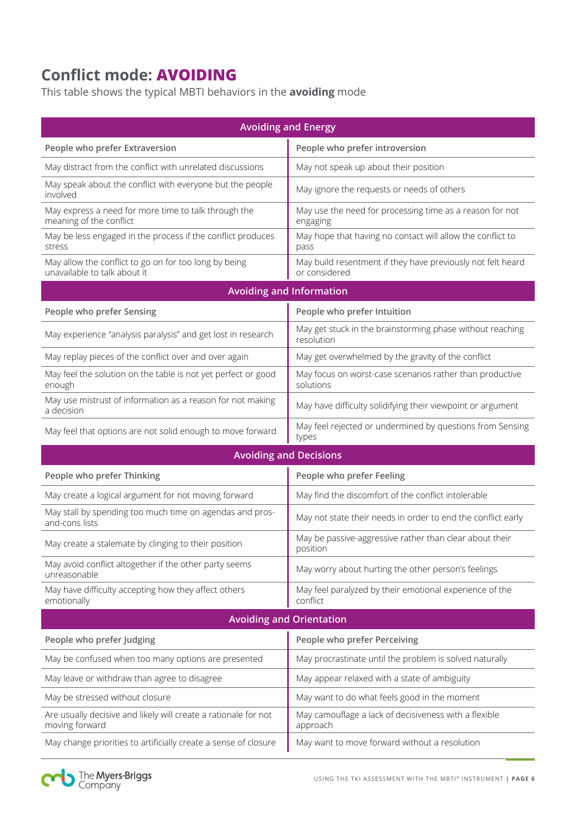# **Conflict mode: AVOIDING**

This table shows the typical MBTI behaviors in the **avoiding** mode

| <b>Avoiding and Energy</b>                                                            |                                                                              |  |  |  |
|---------------------------------------------------------------------------------------|------------------------------------------------------------------------------|--|--|--|
| People who prefer Extraversion                                                        | People who prefer introversion                                               |  |  |  |
| May distract from the conflict with unrelated discussions                             | May not speak up about their position                                        |  |  |  |
| May speak about the conflict with everyone but the people<br>involved                 | May ignore the requests or needs of others                                   |  |  |  |
| May express a need for more time to talk through the<br>meaning of the conflict       | May use the need for processing time as a reason for not<br>engaging         |  |  |  |
| May be less engaged in the process if the conflict produces<br>stress                 | May hope that having no contact will allow the conflict to<br>pass           |  |  |  |
| May allow the conflict to go on for too long by being<br>unavailable to talk about it | May build resentment if they have previously not felt heard<br>or considered |  |  |  |
| <b>Avoiding and Information</b>                                                       |                                                                              |  |  |  |
| People who prefer Sensing                                                             | People who prefer Intuition                                                  |  |  |  |
| May experience "analysis paralysis" and get lost in research                          | May get stuck in the brainstorming phase without reaching<br>resolution      |  |  |  |
| May replay pieces of the conflict over and over again                                 | May get overwhelmed by the gravity of the conflict                           |  |  |  |
| May feel the solution on the table is not yet perfect or good<br>enough               | May focus on worst-case scenarios rather than productive<br>solutions        |  |  |  |
| May use mistrust of information as a reason for not making<br>a decision              | May have difficulty solidifying their viewpoint or argument                  |  |  |  |
| May feel that options are not solid enough to move forward                            | May feel rejected or undermined by questions from Sensing<br>types           |  |  |  |
| <b>Avoiding and Decisions</b>                                                         |                                                                              |  |  |  |
| People who prefer Thinking                                                            | People who prefer Feeling                                                    |  |  |  |
| May create a logical argument for not moving forward                                  | May find the discomfort of the conflict intolerable                          |  |  |  |
| May stall by spending too much time on agendas and pros-<br>and-cons lists            | May not state their needs in order to end the conflict early                 |  |  |  |
| May create a stalemate by clinging to their position                                  | May be passive-aggressive rather than clear about their<br>position          |  |  |  |
| May avoid conflict altogether if the other party seems<br>unreasonable                | May worry about hurting the other person's feelings                          |  |  |  |
| May have difficulty accepting how they affect others<br>emotionally                   | May feel paralyzed by their emotional experience of the<br>conflict          |  |  |  |
| <b>Avoiding and Orientation</b>                                                       |                                                                              |  |  |  |
| People who prefer Judging                                                             | People who prefer Perceiving                                                 |  |  |  |
| May be confused when too many options are presented                                   | May procrastinate until the problem is solved naturally                      |  |  |  |
| May leave or withdraw than agree to disagree                                          | May appear relaxed with a state of ambiguity                                 |  |  |  |
| May be stressed without closure                                                       | May want to do what feels good in the moment                                 |  |  |  |
| Are usually decisive and likely will create a rationale for not<br>moving forward     | May camouflage a lack of decisiveness with a flexible<br>approach            |  |  |  |
| May change priorities to artificially create a sense of closure                       | May want to move forward without a resolution                                |  |  |  |

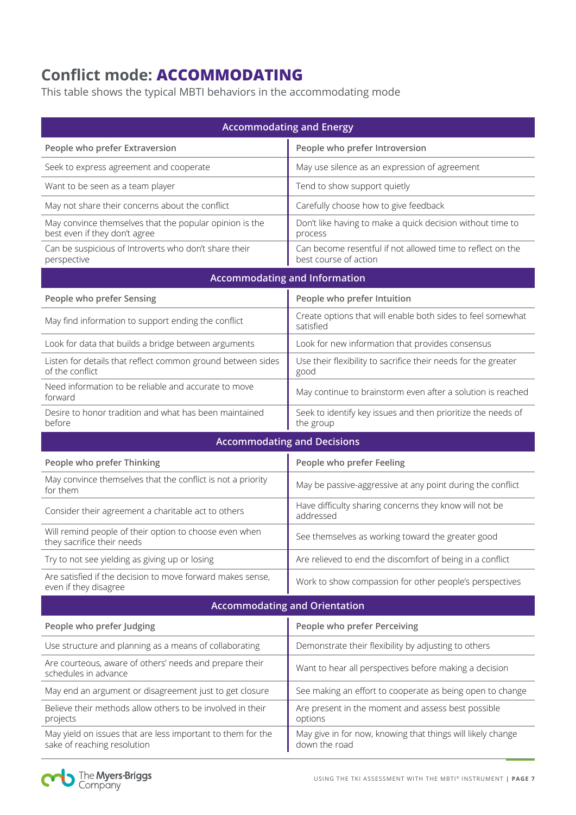# **Conflict mode: ACCOMMODATING**

This table shows the typical MBTI behaviors in the accommodating mode

| <b>Accommodating and Energy</b>                                                            |                                                                                     |  |  |  |
|--------------------------------------------------------------------------------------------|-------------------------------------------------------------------------------------|--|--|--|
| People who prefer Extraversion                                                             | People who prefer Introversion                                                      |  |  |  |
| Seek to express agreement and cooperate                                                    | May use silence as an expression of agreement                                       |  |  |  |
| Want to be seen as a team player                                                           | Tend to show support quietly                                                        |  |  |  |
| May not share their concerns about the conflict                                            | Carefully choose how to give feedback                                               |  |  |  |
| May convince themselves that the popular opinion is the<br>best even if they don't agree   | Don't like having to make a quick decision without time to<br>process               |  |  |  |
| Can be suspicious of Introverts who don't share their<br>perspective                       | Can become resentful if not allowed time to reflect on the<br>best course of action |  |  |  |
| <b>Accommodating and Information</b>                                                       |                                                                                     |  |  |  |
| People who prefer Sensing                                                                  | People who prefer Intuition                                                         |  |  |  |
| May find information to support ending the conflict                                        | Create options that will enable both sides to feel somewhat<br>satisfied            |  |  |  |
| Look for data that builds a bridge between arguments                                       | Look for new information that provides consensus                                    |  |  |  |
| Listen for details that reflect common ground between sides<br>of the conflict             | Use their flexibility to sacrifice their needs for the greater<br>good              |  |  |  |
| Need information to be reliable and accurate to move<br>forward                            | May continue to brainstorm even after a solution is reached                         |  |  |  |
| Desire to honor tradition and what has been maintained<br>before                           | Seek to identify key issues and then prioritize the needs of<br>the group           |  |  |  |
| <b>Accommodating and Decisions</b>                                                         |                                                                                     |  |  |  |
| People who prefer Thinking                                                                 | People who prefer Feeling                                                           |  |  |  |
| May convince themselves that the conflict is not a priority<br>for them                    | May be passive-aggressive at any point during the conflict                          |  |  |  |
| Consider their agreement a charitable act to others                                        | Have difficulty sharing concerns they know will not be<br>addressed                 |  |  |  |
| Will remind people of their option to choose even when<br>they sacrifice their needs       | See themselves as working toward the greater good                                   |  |  |  |
| Try to not see yielding as giving up or losing                                             | Are relieved to end the discomfort of being in a conflict                           |  |  |  |
| Are satisfied if the decision to move forward makes sense,<br>even if they disagree        | Work to show compassion for other people's perspectives                             |  |  |  |
| <b>Accommodating and Orientation</b>                                                       |                                                                                     |  |  |  |
| People who prefer Judging                                                                  | People who prefer Perceiving                                                        |  |  |  |
| Use structure and planning as a means of collaborating                                     | Demonstrate their flexibility by adjusting to others                                |  |  |  |
| Are courteous, aware of others' needs and prepare their<br>schedules in advance            | Want to hear all perspectives before making a decision                              |  |  |  |
| May end an argument or disagreement just to get closure                                    | See making an effort to cooperate as being open to change                           |  |  |  |
| Believe their methods allow others to be involved in their<br>projects                     | Are present in the moment and assess best possible<br>options                       |  |  |  |
| May yield on issues that are less important to them for the<br>sake of reaching resolution | May give in for now, knowing that things will likely change<br>down the road        |  |  |  |

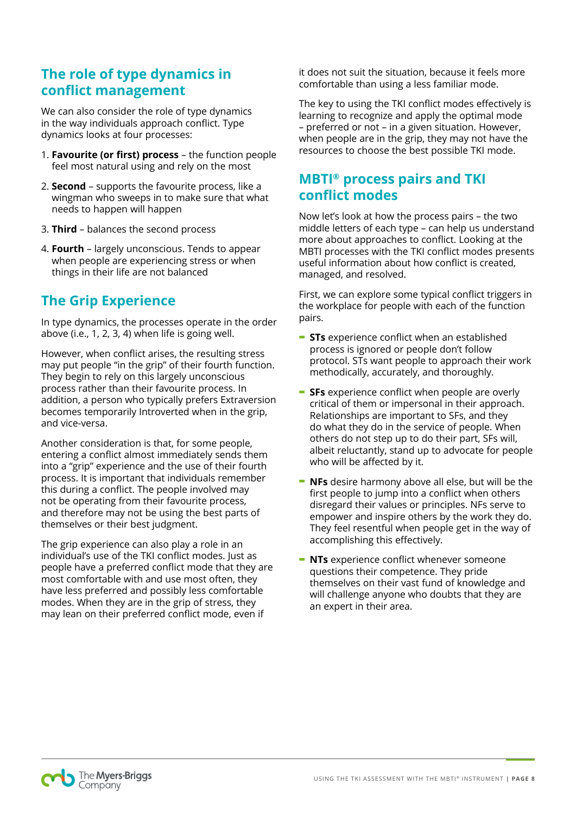#### **The role of type dynamics in conflict management**

We can also consider the role of type dynamics in the way individuals approach conflict. Type dynamics looks at four processes:

- 1. **Favourite (or first) process** the function people feel most natural using and rely on the most
- 2. **Second** supports the favourite process, like a wingman who sweeps in to make sure that what needs to happen will happen
- 3. **Third** balances the second process
- 4. **Fourth** largely unconscious. Tends to appear when people are experiencing stress or when things in their life are not balanced

## **The Grip Experience**

In type dynamics, the processes operate in the order above (i.e., 1, 2, 3, 4) when life is going well.

However, when conflict arises, the resulting stress may put people "in the grip" of their fourth function. They begin to rely on this largely unconscious process rather than their favourite process. In addition, a person who typically prefers Extraversion becomes temporarily Introverted when in the grip, and vice-versa.

Another consideration is that, for some people, entering a conflict almost immediately sends them into a "grip" experience and the use of their fourth process. It is important that individuals remember this during a conflict. The people involved may not be operating from their favourite process, and therefore may not be using the best parts of themselves or their best judgment.

The grip experience can also play a role in an individual's use of the TKI conflict modes. Just as people have a preferred conflict mode that they are most comfortable with and use most often, they have less preferred and possibly less comfortable modes. When they are in the grip of stress, they may lean on their preferred conflict mode, even if

it does not suit the situation, because it feels more comfortable than using a less familiar mode.

The key to using the TKI conflict modes effectively is learning to recognize and apply the optimal mode – preferred or not – in a given situation. However, when people are in the grip, they may not have the resources to choose the best possible TKI mode.

#### **MBTI® process pairs and TKI conflict modes**

Now let's look at how the process pairs – the two middle letters of each type – can help us understand more about approaches to conflict. Looking at the MBTI processes with the TKI conflict modes presents useful information about how conflict is created, managed, and resolved.

First, we can explore some typical conflict triggers in the workplace for people with each of the function pairs.

- **- STs** experience conflict when an established process is ignored or people don't follow protocol. STs want people to approach their work methodically, accurately, and thoroughly.
- **- SFs** experience conflict when people are overly critical of them or impersonal in their approach. Relationships are important to SFs, and they do what they do in the service of people. When others do not step up to do their part, SFs will, albeit reluctantly, stand up to advocate for people who will be affected by it.
- **- NFs** desire harmony above all else, but will be the first people to jump into a conflict when others disregard their values or principles. NFs serve to empower and inspire others by the work they do. They feel resentful when people get in the way of accomplishing this effectively.
- **- NTs** experience conflict whenever someone questions their competence. They pride themselves on their vast fund of knowledge and will challenge anyone who doubts that they are an expert in their area.

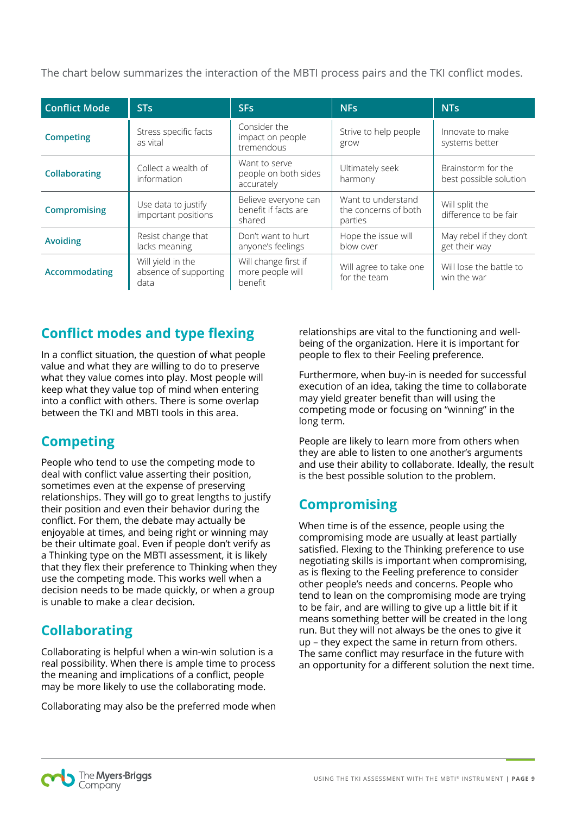The chart below summarizes the interaction of the MBTI process pairs and the TKI conflict modes.

| <b>Conflict Mode</b> | <b>STs</b>                                         | <b>SFs</b>                                             | <b>NFs</b>                                            | <b>NTs</b>                                   |
|----------------------|----------------------------------------------------|--------------------------------------------------------|-------------------------------------------------------|----------------------------------------------|
| <b>Competing</b>     | Stress specific facts<br>as vital                  | Consider the<br>impact on people<br>tremendous         | Strive to help people<br>grow                         | Innovate to make<br>systems better           |
| <b>Collaborating</b> | Collect a wealth of<br>information                 | Want to serve<br>people on both sides<br>accurately    | Ultimately seek<br>harmony                            | Brainstorm for the<br>best possible solution |
| <b>Compromising</b>  | Use data to justify<br>important positions         | Believe everyone can<br>benefit if facts are<br>shared | Want to understand<br>the concerns of both<br>parties | Will split the<br>difference to be fair      |
| <b>Avoiding</b>      | Resist change that<br>lacks meaning                | Don't want to hurt<br>anyone's feelings                | Hope the issue will<br>blow over                      | May rebel if they don't<br>get their way     |
| <b>Accommodating</b> | Will yield in the<br>absence of supporting<br>data | Will change first if<br>more people will<br>benefit    | Will agree to take one<br>for the team                | Will lose the battle to<br>win the war       |

#### **Conflict modes and type flexing**

In a conflict situation, the question of what people value and what they are willing to do to preserve what they value comes into play. Most people will keep what they value top of mind when entering into a conflict with others. There is some overlap between the TKI and MBTI tools in this area.

## **Competing**

People who tend to use the competing mode to deal with conflict value asserting their position, sometimes even at the expense of preserving relationships. They will go to great lengths to justify their position and even their behavior during the conflict. For them, the debate may actually be enjoyable at times, and being right or winning may be their ultimate goal. Even if people don't verify as a Thinking type on the MBTI assessment, it is likely that they flex their preference to Thinking when they use the competing mode. This works well when a decision needs to be made quickly, or when a group is unable to make a clear decision.

## **Collaborating**

Collaborating is helpful when a win-win solution is a real possibility. When there is ample time to process the meaning and implications of a conflict, people may be more likely to use the collaborating mode.

Collaborating may also be the preferred mode when

relationships are vital to the functioning and wellbeing of the organization. Here it is important for people to flex to their Feeling preference.

Furthermore, when buy-in is needed for successful execution of an idea, taking the time to collaborate may yield greater benefit than will using the competing mode or focusing on "winning" in the long term.

People are likely to learn more from others when they are able to listen to one another's arguments and use their ability to collaborate. Ideally, the result is the best possible solution to the problem.

## **Compromising**

When time is of the essence, people using the compromising mode are usually at least partially satisfied. Flexing to the Thinking preference to use negotiating skills is important when compromising, as is flexing to the Feeling preference to consider other people's needs and concerns. People who tend to lean on the compromising mode are trying to be fair, and are willing to give up a little bit if it means something better will be created in the long run. But they will not always be the ones to give it up – they expect the same in return from others. The same conflict may resurface in the future with an opportunity for a different solution the next time.

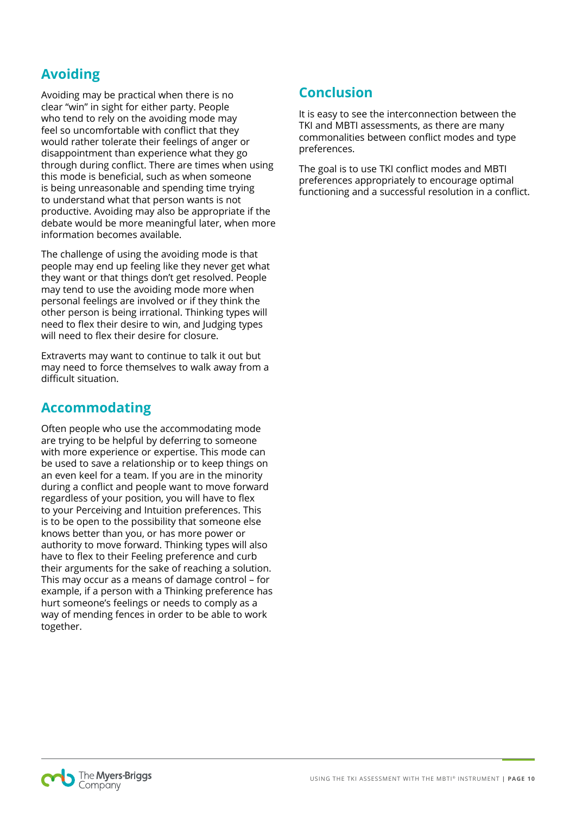## **Avoiding**

Avoiding may be practical when there is no clear "win" in sight for either party. People who tend to rely on the avoiding mode may feel so uncomfortable with conflict that they would rather tolerate their feelings of anger or disappointment than experience what they go through during conflict. There are times when using this mode is beneficial, such as when someone is being unreasonable and spending time trying to understand what that person wants is not productive. Avoiding may also be appropriate if the debate would be more meaningful later, when more information becomes available.

The challenge of using the avoiding mode is that people may end up feeling like they never get what they want or that things don't get resolved. People may tend to use the avoiding mode more when personal feelings are involved or if they think the other person is being irrational. Thinking types will need to flex their desire to win, and Judging types will need to flex their desire for closure.

Extraverts may want to continue to talk it out but may need to force themselves to walk away from a difficult situation.

#### **Accommodating**

Often people who use the accommodating mode are trying to be helpful by deferring to someone with more experience or expertise. This mode can be used to save a relationship or to keep things on an even keel for a team. If you are in the minority during a conflict and people want to move forward regardless of your position, you will have to flex to your Perceiving and Intuition preferences. This is to be open to the possibility that someone else knows better than you, or has more power or authority to move forward. Thinking types will also have to flex to their Feeling preference and curb their arguments for the sake of reaching a solution. This may occur as a means of damage control – for example, if a person with a Thinking preference has hurt someone's feelings or needs to comply as a way of mending fences in order to be able to work together.

#### **Conclusion**

It is easy to see the interconnection between the TKI and MBTI assessments, as there are many commonalities between conflict modes and type preferences.

The goal is to use TKI conflict modes and MBTI preferences appropriately to encourage optimal functioning and a successful resolution in a conflict.